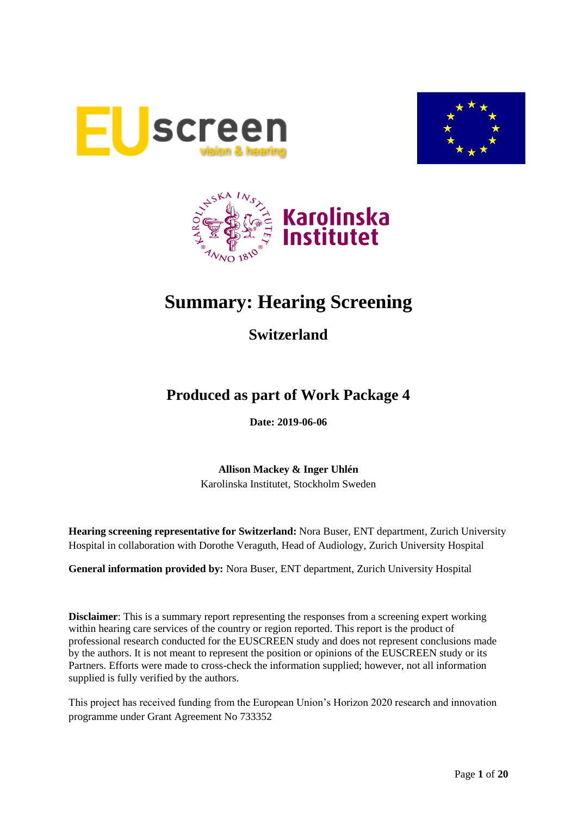





# **Summary: Hearing Screening**

## **Switzerland**

## **Produced as part of Work Package 4**

**Date: 2019-06-06**

**Allison Mackey & Inger Uhlén** Karolinska Institutet, Stockholm Sweden

**Hearing screening representative for Switzerland:** Nora Buser, ENT department, Zurich University Hospital in collaboration with Dorothe Veraguth, Head of Audiology, Zurich University Hospital

**General information provided by:** Nora Buser, ENT department, Zurich University Hospital

**Disclaimer**: This is a summary report representing the responses from a screening expert working within hearing care services of the country or region reported. This report is the product of professional research conducted for the EUSCREEN study and does not represent conclusions made by the authors. It is not meant to represent the position or opinions of the EUSCREEN study or its Partners. Efforts were made to cross-check the information supplied; however, not all information supplied is fully verified by the authors.

This project has received funding from the European Union's Horizon 2020 research and innovation programme under Grant Agreement No 733352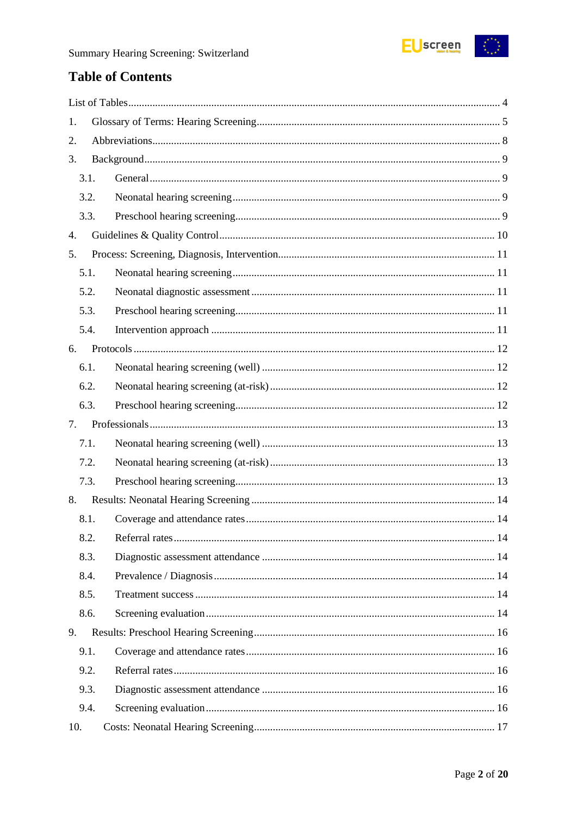

### **Table of Contents**

| 1.   |  |
|------|--|
| 2.   |  |
| 3.   |  |
| 3.1. |  |
| 3.2. |  |
| 3.3. |  |
| 4.   |  |
| 5.   |  |
| 5.1. |  |
| 5.2. |  |
| 5.3. |  |
| 5.4. |  |
| 6.   |  |
| 6.1. |  |
| 6.2. |  |
| 6.3. |  |
| 7.   |  |
| 7.1. |  |
| 7.2. |  |
| 7.3. |  |
| 8.   |  |
| 8.1. |  |
| 8.2. |  |
| 8.3. |  |
| 8.4. |  |
| 8.5. |  |
| 8.6. |  |
| 9.   |  |
| 9.1. |  |
| 9.2. |  |
| 9.3. |  |
| 9.4. |  |
| 10.  |  |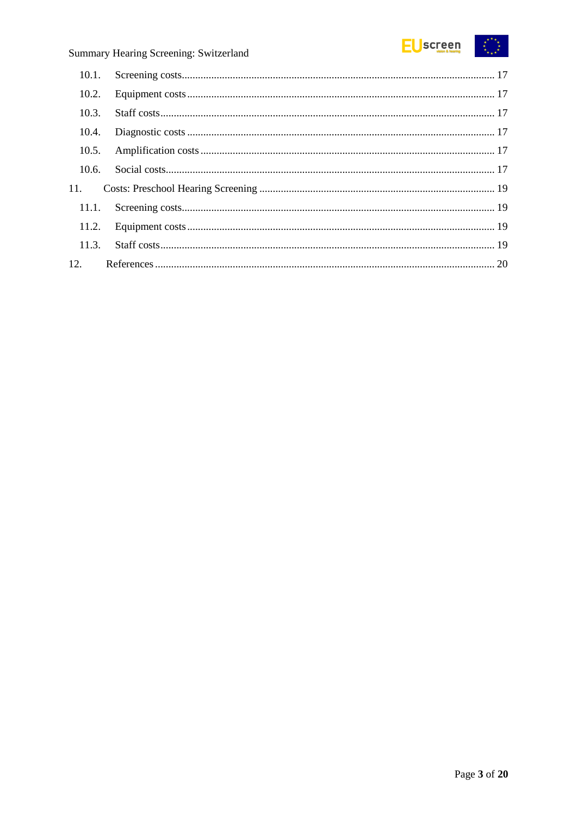

| 10.1. |  |
|-------|--|
| 10.2. |  |
| 10.3. |  |
| 10.4. |  |
| 10.5. |  |
| 10.6. |  |
| 11.   |  |
| 11.1. |  |
|       |  |
| 11.3. |  |
| 12.   |  |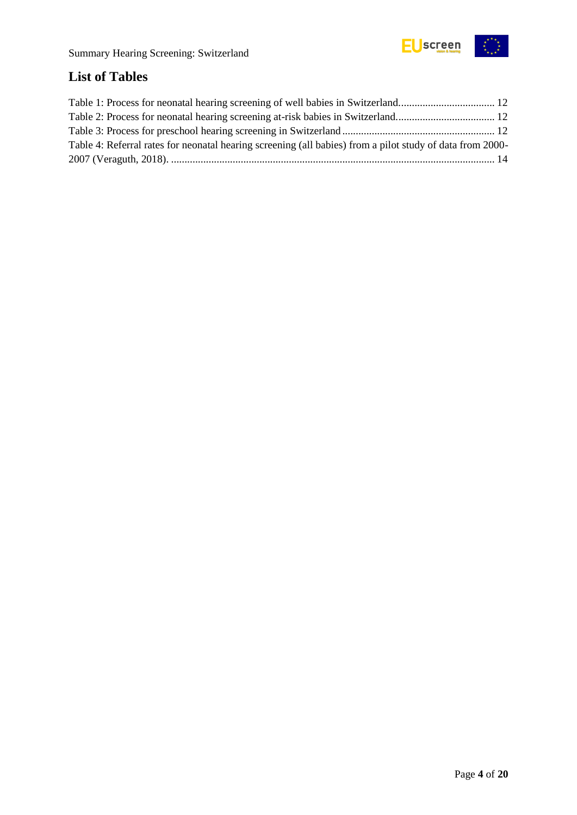

## <span id="page-3-0"></span>**List of Tables**

| Table 4: Referral rates for neonatal hearing screening (all babies) from a pilot study of data from 2000- |  |
|-----------------------------------------------------------------------------------------------------------|--|
|                                                                                                           |  |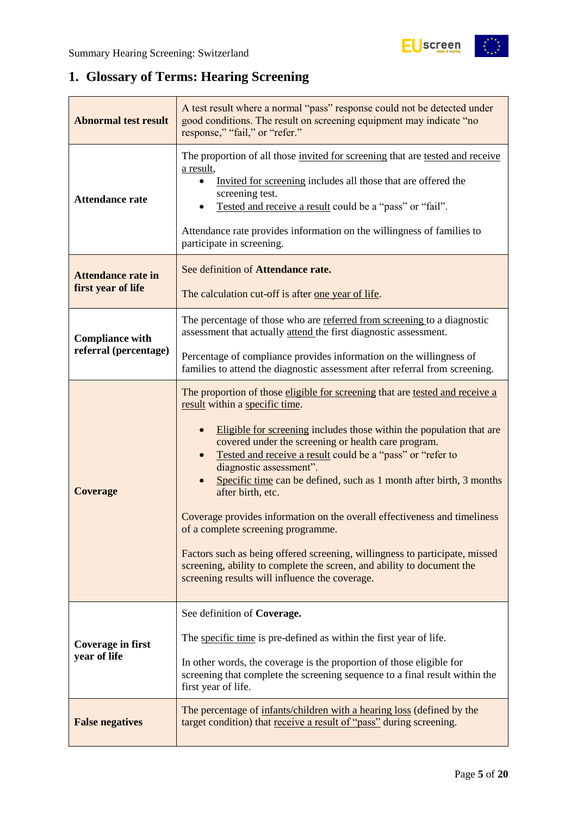

## <span id="page-4-0"></span>**1. Glossary of Terms: Hearing Screening**

| <b>Abnormal test result</b>                     | A test result where a normal "pass" response could not be detected under<br>good conditions. The result on screening equipment may indicate "no<br>response," "fail," or "refer."                                                                                                                                                                                                                                                                                                                                                                                                                                                                                                                                                                                |
|-------------------------------------------------|------------------------------------------------------------------------------------------------------------------------------------------------------------------------------------------------------------------------------------------------------------------------------------------------------------------------------------------------------------------------------------------------------------------------------------------------------------------------------------------------------------------------------------------------------------------------------------------------------------------------------------------------------------------------------------------------------------------------------------------------------------------|
| <b>Attendance rate</b>                          | The proportion of all those invited for screening that are tested and receive<br>a result,<br>Invited for screening includes all those that are offered the<br>screening test.<br>Tested and receive a result could be a "pass" or "fail".<br>Attendance rate provides information on the willingness of families to<br>participate in screening.                                                                                                                                                                                                                                                                                                                                                                                                                |
| <b>Attendance rate in</b><br>first year of life | See definition of Attendance rate.<br>The calculation cut-off is after one year of life.                                                                                                                                                                                                                                                                                                                                                                                                                                                                                                                                                                                                                                                                         |
| <b>Compliance with</b>                          | The percentage of those who are referred from screening to a diagnostic<br>assessment that actually attend the first diagnostic assessment.                                                                                                                                                                                                                                                                                                                                                                                                                                                                                                                                                                                                                      |
| referral (percentage)                           | Percentage of compliance provides information on the willingness of<br>families to attend the diagnostic assessment after referral from screening.                                                                                                                                                                                                                                                                                                                                                                                                                                                                                                                                                                                                               |
| <b>Coverage</b>                                 | The proportion of those eligible for screening that are tested and receive a<br>result within a specific time.<br>Eligible for screening includes those within the population that are<br>covered under the screening or health care program.<br>Tested and receive a result could be a "pass" or "refer to<br>diagnostic assessment".<br>Specific time can be defined, such as 1 month after birth, 3 months<br>after birth, etc.<br>Coverage provides information on the overall effectiveness and timeliness<br>of a complete screening programme.<br>Factors such as being offered screening, willingness to participate, missed<br>screening, ability to complete the screen, and ability to document the<br>screening results will influence the coverage. |
| Coverage in first<br>year of life               | See definition of Coverage.<br>The specific time is pre-defined as within the first year of life.<br>In other words, the coverage is the proportion of those eligible for<br>screening that complete the screening sequence to a final result within the<br>first year of life.                                                                                                                                                                                                                                                                                                                                                                                                                                                                                  |
| <b>False negatives</b>                          | The percentage of infants/children with a hearing loss (defined by the<br>target condition) that receive a result of "pass" during screening.                                                                                                                                                                                                                                                                                                                                                                                                                                                                                                                                                                                                                    |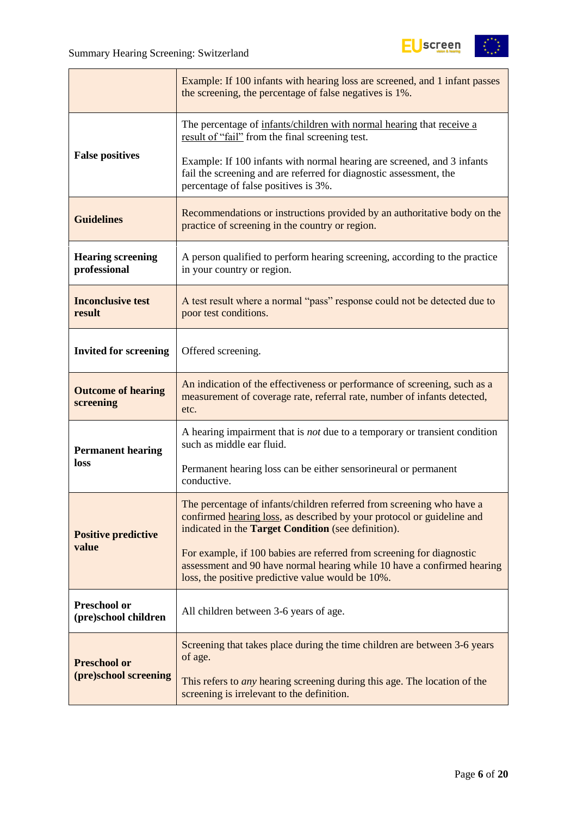$\mathbf{r}$ 



|                                          | Example: If 100 infants with hearing loss are screened, and 1 infant passes<br>the screening, the percentage of false negatives is 1%.                                                                        |
|------------------------------------------|---------------------------------------------------------------------------------------------------------------------------------------------------------------------------------------------------------------|
|                                          | The percentage of infants/children with normal hearing that receive a<br>result of "fail" from the final screening test.                                                                                      |
| <b>False positives</b>                   | Example: If 100 infants with normal hearing are screened, and 3 infants<br>fail the screening and are referred for diagnostic assessment, the<br>percentage of false positives is 3%.                         |
| <b>Guidelines</b>                        | Recommendations or instructions provided by an authoritative body on the<br>practice of screening in the country or region.                                                                                   |
| <b>Hearing screening</b><br>professional | A person qualified to perform hearing screening, according to the practice<br>in your country or region.                                                                                                      |
| <b>Inconclusive test</b><br>result       | A test result where a normal "pass" response could not be detected due to<br>poor test conditions.                                                                                                            |
| <b>Invited for screening</b>             | Offered screening.                                                                                                                                                                                            |
| <b>Outcome of hearing</b><br>screening   | An indication of the effectiveness or performance of screening, such as a<br>measurement of coverage rate, referral rate, number of infants detected,<br>etc.                                                 |
| <b>Permanent hearing</b>                 | A hearing impairment that is <i>not</i> due to a temporary or transient condition<br>such as middle ear fluid.                                                                                                |
| loss                                     | Permanent hearing loss can be either sensorineural or permanent<br>conductive.                                                                                                                                |
| <b>Positive predictive</b>               | The percentage of infants/children referred from screening who have a<br>confirmed hearing loss, as described by your protocol or guideline and<br>indicated in the <b>Target Condition</b> (see definition). |
| value                                    | For example, if 100 babies are referred from screening for diagnostic<br>assessment and 90 have normal hearing while 10 have a confirmed hearing<br>loss, the positive predictive value would be 10%.         |
| Preschool or<br>(pre)school children     | All children between 3-6 years of age.                                                                                                                                                                        |
| <b>Preschool or</b>                      | Screening that takes place during the time children are between 3-6 years<br>of age.                                                                                                                          |
| (pre)school screening                    | This refers to <i>any</i> hearing screening during this age. The location of the<br>screening is irrelevant to the definition.                                                                                |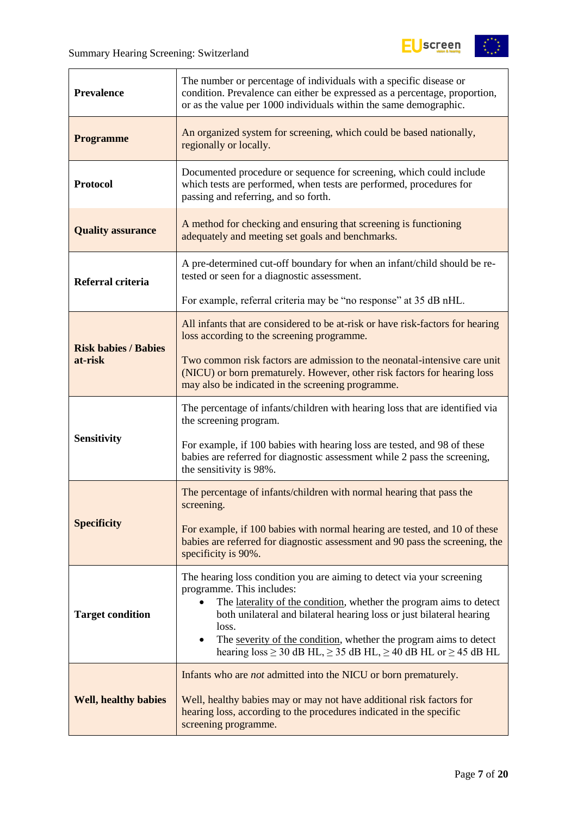$\overline{a}$ 



| <b>Prevalence</b>           | The number or percentage of individuals with a specific disease or<br>condition. Prevalence can either be expressed as a percentage, proportion,<br>or as the value per 1000 individuals within the same demographic.                                                                                                                                                                                                                       |
|-----------------------------|---------------------------------------------------------------------------------------------------------------------------------------------------------------------------------------------------------------------------------------------------------------------------------------------------------------------------------------------------------------------------------------------------------------------------------------------|
| <b>Programme</b>            | An organized system for screening, which could be based nationally,<br>regionally or locally.                                                                                                                                                                                                                                                                                                                                               |
| <b>Protocol</b>             | Documented procedure or sequence for screening, which could include<br>which tests are performed, when tests are performed, procedures for<br>passing and referring, and so forth.                                                                                                                                                                                                                                                          |
| <b>Quality assurance</b>    | A method for checking and ensuring that screening is functioning<br>adequately and meeting set goals and benchmarks.                                                                                                                                                                                                                                                                                                                        |
| Referral criteria           | A pre-determined cut-off boundary for when an infant/child should be re-<br>tested or seen for a diagnostic assessment.                                                                                                                                                                                                                                                                                                                     |
|                             | For example, referral criteria may be "no response" at 35 dB nHL.                                                                                                                                                                                                                                                                                                                                                                           |
| <b>Risk babies / Babies</b> | All infants that are considered to be at-risk or have risk-factors for hearing<br>loss according to the screening programme.                                                                                                                                                                                                                                                                                                                |
| at-risk                     | Two common risk factors are admission to the neonatal-intensive care unit<br>(NICU) or born prematurely. However, other risk factors for hearing loss<br>may also be indicated in the screening programme.                                                                                                                                                                                                                                  |
|                             | The percentage of infants/children with hearing loss that are identified via<br>the screening program.                                                                                                                                                                                                                                                                                                                                      |
| <b>Sensitivity</b>          | For example, if 100 babies with hearing loss are tested, and 98 of these<br>babies are referred for diagnostic assessment while 2 pass the screening,<br>the sensitivity is 98%.                                                                                                                                                                                                                                                            |
|                             | The percentage of infants/children with normal hearing that pass the<br>screening.                                                                                                                                                                                                                                                                                                                                                          |
| <b>Specificity</b>          | For example, if 100 babies with normal hearing are tested, and 10 of these<br>babies are referred for diagnostic assessment and 90 pass the screening, the<br>specificity is 90%.                                                                                                                                                                                                                                                           |
| <b>Target condition</b>     | The hearing loss condition you are aiming to detect via your screening<br>programme. This includes:<br>The laterality of the condition, whether the program aims to detect<br>$\bullet$<br>both unilateral and bilateral hearing loss or just bilateral hearing<br>loss.<br>The severity of the condition, whether the program aims to detect<br>$\bullet$<br>hearing $loss \ge 30$ dB HL, $\ge 35$ dB HL, $\ge 40$ dB HL or $\ge 45$ dB HL |
| <b>Well, healthy babies</b> | Infants who are <i>not</i> admitted into the NICU or born prematurely.<br>Well, healthy babies may or may not have additional risk factors for<br>hearing loss, according to the procedures indicated in the specific<br>screening programme.                                                                                                                                                                                               |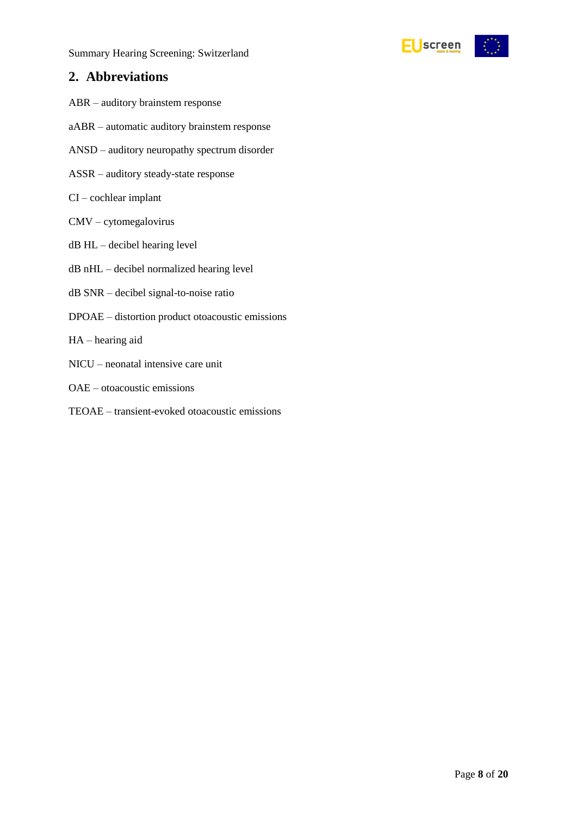

### <span id="page-7-0"></span>**2. Abbreviations**

- ABR auditory brainstem response
- aABR automatic auditory brainstem response
- ANSD auditory neuropathy spectrum disorder
- ASSR auditory steady-state response
- CI cochlear implant
- CMV cytomegalovirus
- dB HL decibel hearing level
- dB nHL decibel normalized hearing level
- dB SNR decibel signal-to-noise ratio
- DPOAE distortion product otoacoustic emissions
- HA hearing aid
- NICU neonatal intensive care unit
- OAE otoacoustic emissions
- TEOAE transient-evoked otoacoustic emissions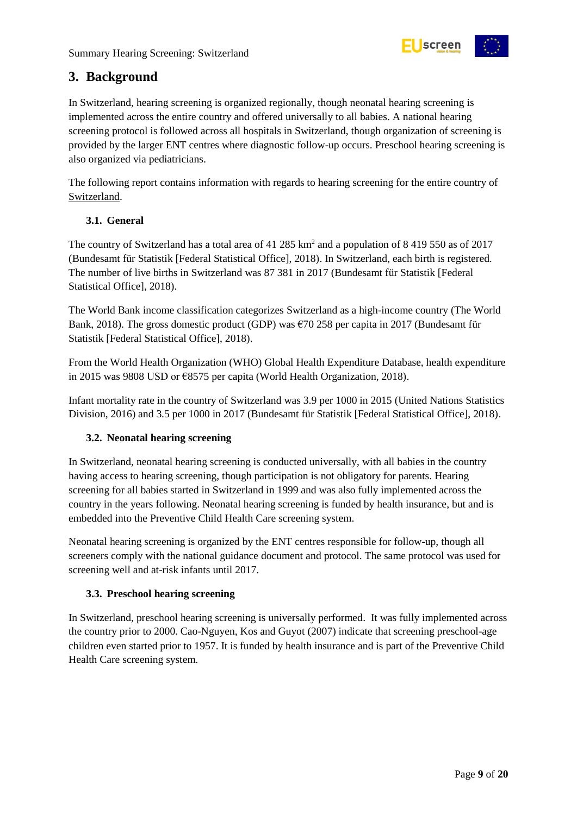

### <span id="page-8-0"></span>**3. Background**

In Switzerland, hearing screening is organized regionally, though neonatal hearing screening is implemented across the entire country and offered universally to all babies. A national hearing screening protocol is followed across all hospitals in Switzerland, though organization of screening is provided by the larger ENT centres where diagnostic follow-up occurs. Preschool hearing screening is also organized via pediatricians.

The following report contains information with regards to hearing screening for the entire country of Switzerland.

#### <span id="page-8-1"></span>**3.1. General**

The country of Switzerland has a total area of 41 285 km<sup>2</sup> and a population of 8 419 550 as of 2017 (Bundesamt für Statistik [Federal Statistical Office], 2018). In Switzerland, each birth is registered. The number of live births in Switzerland was 87 381 in 2017 (Bundesamt für Statistik [Federal Statistical Office], 2018).

The World Bank income classification categorizes Switzerland as a high-income country (The World Bank, 2018). The gross domestic product (GDP) was  $\epsilon$ 70 258 per capita in 2017 (Bundesamt für Statistik [Federal Statistical Office], 2018).

From the World Health Organization (WHO) Global Health Expenditure Database, health expenditure in 2015 was 9808 USD or €8575 per capita (World Health Organization, 2018).

Infant mortality rate in the country of Switzerland was 3.9 per 1000 in 2015 (United Nations Statistics Division, 2016) and 3.5 per 1000 in 2017 (Bundesamt für Statistik [Federal Statistical Office], 2018).

#### <span id="page-8-2"></span>**3.2. Neonatal hearing screening**

In Switzerland, neonatal hearing screening is conducted universally, with all babies in the country having access to hearing screening, though participation is not obligatory for parents. Hearing screening for all babies started in Switzerland in 1999 and was also fully implemented across the country in the years following. Neonatal hearing screening is funded by health insurance, but and is embedded into the Preventive Child Health Care screening system.

Neonatal hearing screening is organized by the ENT centres responsible for follow-up, though all screeners comply with the national guidance document and protocol. The same protocol was used for screening well and at-risk infants until 2017.

#### <span id="page-8-3"></span>**3.3. Preschool hearing screening**

In Switzerland, preschool hearing screening is universally performed. It was fully implemented across the country prior to 2000. Cao-Nguyen, Kos and Guyot (2007) indicate that screening preschool-age children even started prior to 1957. It is funded by health insurance and is part of the Preventive Child Health Care screening system.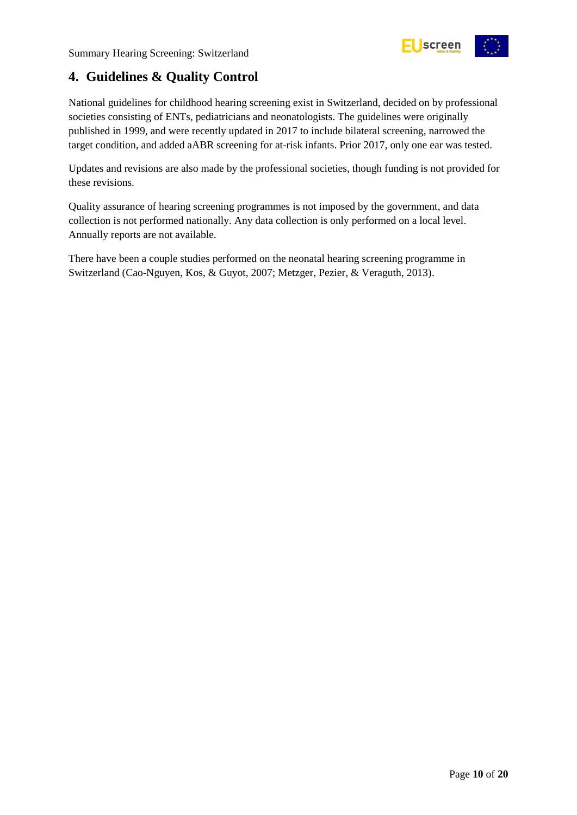

### <span id="page-9-0"></span>**4. Guidelines & Quality Control**

National guidelines for childhood hearing screening exist in Switzerland, decided on by professional societies consisting of ENTs, pediatricians and neonatologists. The guidelines were originally published in 1999, and were recently updated in 2017 to include bilateral screening, narrowed the target condition, and added aABR screening for at-risk infants. Prior 2017, only one ear was tested.

Updates and revisions are also made by the professional societies, though funding is not provided for these revisions.

Quality assurance of hearing screening programmes is not imposed by the government, and data collection is not performed nationally. Any data collection is only performed on a local level. Annually reports are not available.

There have been a couple studies performed on the neonatal hearing screening programme in Switzerland (Cao-Nguyen, Kos, & Guyot, 2007; Metzger, Pezier, & Veraguth, 2013).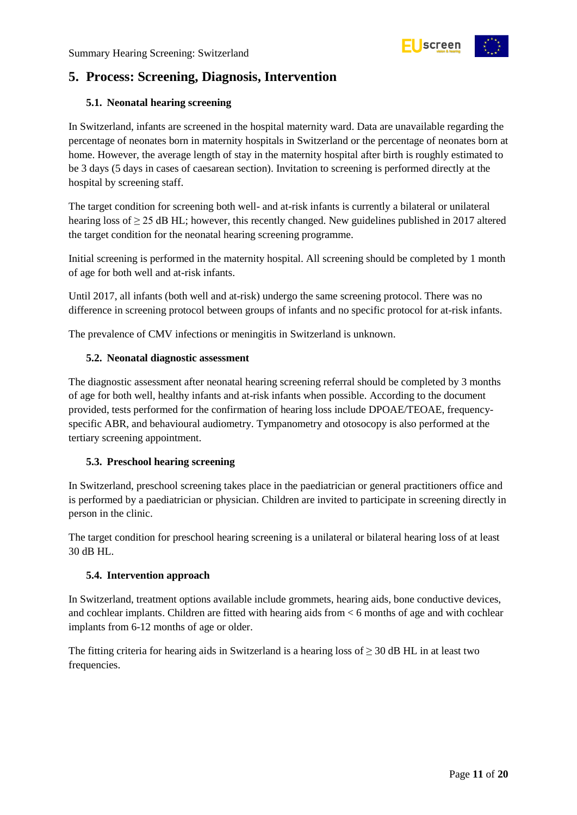

### <span id="page-10-0"></span>**5. Process: Screening, Diagnosis, Intervention**

#### <span id="page-10-1"></span>**5.1. Neonatal hearing screening**

In Switzerland, infants are screened in the hospital maternity ward. Data are unavailable regarding the percentage of neonates born in maternity hospitals in Switzerland or the percentage of neonates born at home. However, the average length of stay in the maternity hospital after birth is roughly estimated to be 3 days (5 days in cases of caesarean section). Invitation to screening is performed directly at the hospital by screening staff.

The target condition for screening both well- and at-risk infants is currently a bilateral or unilateral hearing loss of ≥ 25 dB HL; however, this recently changed. New guidelines published in 2017 altered the target condition for the neonatal hearing screening programme.

Initial screening is performed in the maternity hospital. All screening should be completed by 1 month of age for both well and at-risk infants.

Until 2017, all infants (both well and at-risk) undergo the same screening protocol. There was no difference in screening protocol between groups of infants and no specific protocol for at-risk infants.

The prevalence of CMV infections or meningitis in Switzerland is unknown.

#### <span id="page-10-2"></span>**5.2. Neonatal diagnostic assessment**

The diagnostic assessment after neonatal hearing screening referral should be completed by 3 months of age for both well, healthy infants and at-risk infants when possible. According to the document provided, tests performed for the confirmation of hearing loss include DPOAE/TEOAE, frequencyspecific ABR, and behavioural audiometry. Tympanometry and otosocopy is also performed at the tertiary screening appointment.

#### <span id="page-10-3"></span>**5.3. Preschool hearing screening**

In Switzerland, preschool screening takes place in the paediatrician or general practitioners office and is performed by a paediatrician or physician. Children are invited to participate in screening directly in person in the clinic.

The target condition for preschool hearing screening is a unilateral or bilateral hearing loss of at least 30 dB HL.

#### <span id="page-10-4"></span>**5.4. Intervention approach**

In Switzerland, treatment options available include grommets, hearing aids, bone conductive devices, and cochlear implants. Children are fitted with hearing aids from < 6 months of age and with cochlear implants from 6-12 months of age or older.

The fitting criteria for hearing aids in Switzerland is a hearing loss of  $\geq$  30 dB HL in at least two frequencies.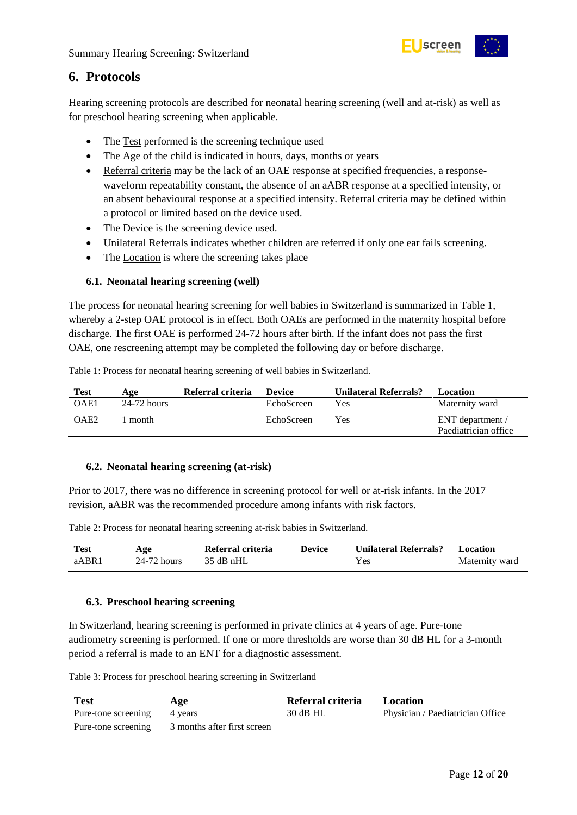

### <span id="page-11-0"></span>**6. Protocols**

Hearing screening protocols are described for neonatal hearing screening (well and at-risk) as well as for preschool hearing screening when applicable.

- The Test performed is the screening technique used
- The Age of the child is indicated in hours, days, months or years
- Referral criteria may be the lack of an OAE response at specified frequencies, a responsewaveform repeatability constant, the absence of an aABR response at a specified intensity, or an absent behavioural response at a specified intensity. Referral criteria may be defined within a protocol or limited based on the device used.
- The Device is the screening device used.
- Unilateral Referrals indicates whether children are referred if only one ear fails screening.
- The Location is where the screening takes place

#### <span id="page-11-1"></span>**6.1. Neonatal hearing screening (well)**

The process for neonatal hearing screening for well babies in Switzerland is summarized in Table 1, whereby a 2-step OAE protocol is in effect. Both OAEs are performed in the maternity hospital before discharge. The first OAE is performed 24-72 hours after birth. If the infant does not pass the first OAE, one rescreening attempt may be completed the following day or before discharge.

<span id="page-11-4"></span>

|  |  |  |  |  | Table 1: Process for neonatal hearing screening of well babies in Switzerland. |
|--|--|--|--|--|--------------------------------------------------------------------------------|
|  |  |  |  |  |                                                                                |

| Test | Age           | Referral criteria | <b>Device</b> | <b>Unilateral Referrals?</b> | Location                                 |
|------|---------------|-------------------|---------------|------------------------------|------------------------------------------|
| OAE1 | $24-72$ hours |                   | EchoScreen    | Yes                          | Maternity ward                           |
| OAE2 | month         |                   | EchoScreen    | Yes                          | ENT department /<br>Paediatrician office |

#### <span id="page-11-2"></span>**6.2. Neonatal hearing screening (at-risk)**

Prior to 2017, there was no difference in screening protocol for well or at-risk infants. In the 2017 revision, aABR was the recommended procedure among infants with risk factors.

<span id="page-11-5"></span>Table 2: Process for neonatal hearing screening at-risk babies in Switzerland.

| <b>Test</b> | Age         | Referral criteria | <b>Device</b> | <b>Unilateral Referrals?</b> | Location       |
|-------------|-------------|-------------------|---------------|------------------------------|----------------|
| aABR1       | 24-72 hours | 35 dB nHL         |               | Y es                         | Maternity ward |

#### <span id="page-11-3"></span>**6.3. Preschool hearing screening**

In Switzerland, hearing screening is performed in private clinics at 4 years of age. Pure-tone audiometry screening is performed. If one or more thresholds are worse than 30 dB HL for a 3-month period a referral is made to an ENT for a diagnostic assessment.

<span id="page-11-6"></span>Table 3: Process for preschool hearing screening in Switzerland

| <b>Test</b>         | Age                         | Referral criteria | Location                         |
|---------------------|-----------------------------|-------------------|----------------------------------|
| Pure-tone screening | 4 years                     | 30 dB HL          | Physician / Paediatrician Office |
| Pure-tone screening | 3 months after first screen |                   |                                  |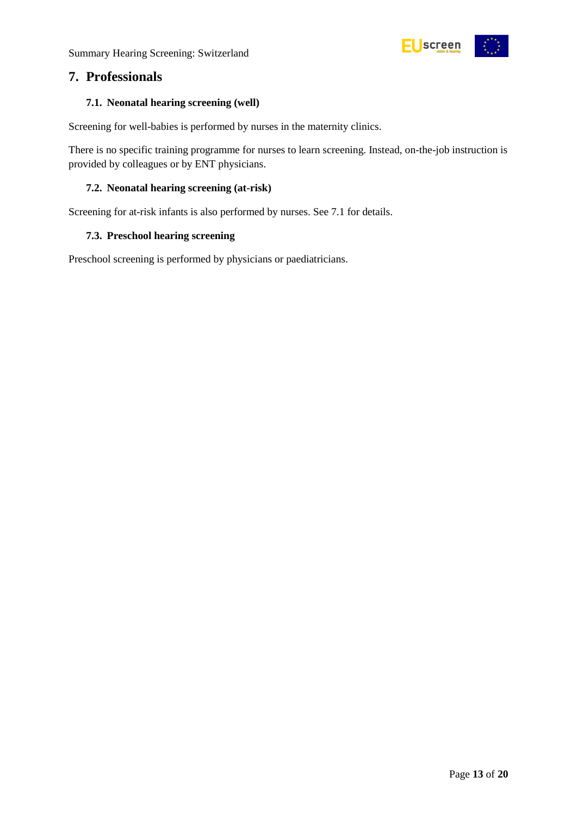

### <span id="page-12-0"></span>**7. Professionals**

#### <span id="page-12-1"></span>**7.1. Neonatal hearing screening (well)**

Screening for well-babies is performed by nurses in the maternity clinics.

There is no specific training programme for nurses to learn screening. Instead, on-the-job instruction is provided by colleagues or by ENT physicians.

#### <span id="page-12-2"></span>**7.2. Neonatal hearing screening (at-risk)**

Screening for at-risk infants is also performed by nurses. See 7.1 for details.

#### <span id="page-12-3"></span>**7.3. Preschool hearing screening**

Preschool screening is performed by physicians or paediatricians.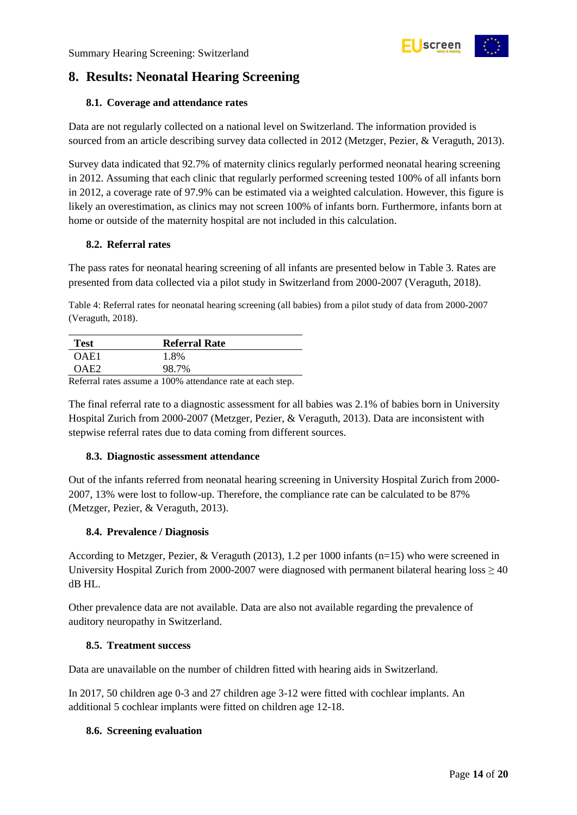

### <span id="page-13-0"></span>**8. Results: Neonatal Hearing Screening**

#### <span id="page-13-1"></span>**8.1. Coverage and attendance rates**

Data are not regularly collected on a national level on Switzerland. The information provided is sourced from an article describing survey data collected in 2012 (Metzger, Pezier, & Veraguth, 2013).

Survey data indicated that 92.7% of maternity clinics regularly performed neonatal hearing screening in 2012. Assuming that each clinic that regularly performed screening tested 100% of all infants born in 2012, a coverage rate of 97.9% can be estimated via a weighted calculation. However, this figure is likely an overestimation, as clinics may not screen 100% of infants born. Furthermore, infants born at home or outside of the maternity hospital are not included in this calculation.

#### <span id="page-13-2"></span>**8.2. Referral rates**

The pass rates for neonatal hearing screening of all infants are presented below in Table 3. Rates are presented from data collected via a pilot study in Switzerland from 2000-2007 (Veraguth, 2018).

<span id="page-13-7"></span>Table 4: Referral rates for neonatal hearing screening (all babies) from a pilot study of data from 2000-2007 (Veraguth, 2018).

| <b>Test</b> | <b>Referral Rate</b> |  |
|-------------|----------------------|--|
| OAE1        | 1.8%                 |  |
| 7AF2        | 98.7%                |  |

Referral rates assume a 100% attendance rate at each step.

The final referral rate to a diagnostic assessment for all babies was 2.1% of babies born in University Hospital Zurich from 2000-2007 (Metzger, Pezier, & Veraguth, 2013). Data are inconsistent with stepwise referral rates due to data coming from different sources.

#### <span id="page-13-3"></span>**8.3. Diagnostic assessment attendance**

Out of the infants referred from neonatal hearing screening in University Hospital Zurich from 2000- 2007, 13% were lost to follow-up. Therefore, the compliance rate can be calculated to be 87% (Metzger, Pezier, & Veraguth, 2013).

#### <span id="page-13-4"></span>**8.4. Prevalence / Diagnosis**

According to Metzger, Pezier, & Veraguth (2013), 1.2 per 1000 infants (n=15) who were screened in University Hospital Zurich from 2000-2007 were diagnosed with permanent bilateral hearing loss  $\geq$  40 dB HL.

Other prevalence data are not available. Data are also not available regarding the prevalence of auditory neuropathy in Switzerland.

#### <span id="page-13-5"></span>**8.5. Treatment success**

Data are unavailable on the number of children fitted with hearing aids in Switzerland.

In 2017, 50 children age 0-3 and 27 children age 3-12 were fitted with cochlear implants. An additional 5 cochlear implants were fitted on children age 12-18.

#### <span id="page-13-6"></span>**8.6. Screening evaluation**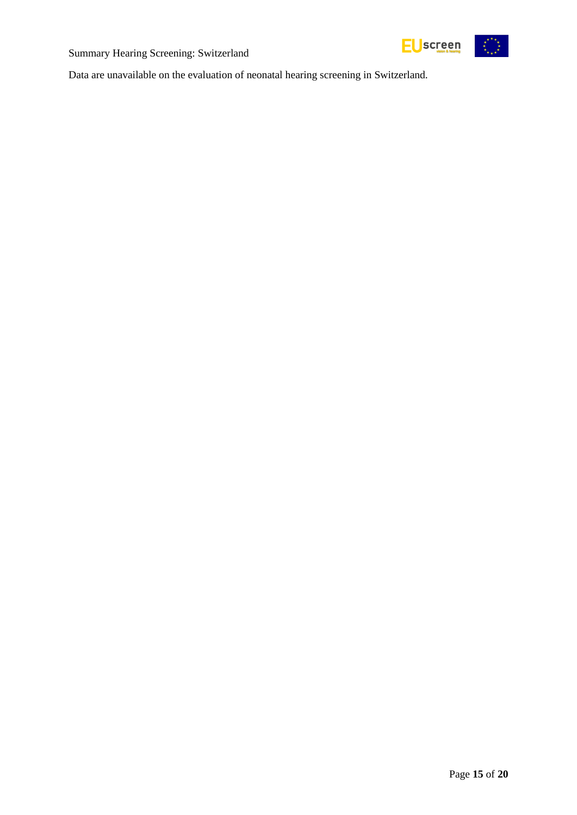





Data are unavailable on the evaluation of neonatal hearing screening in Switzerland.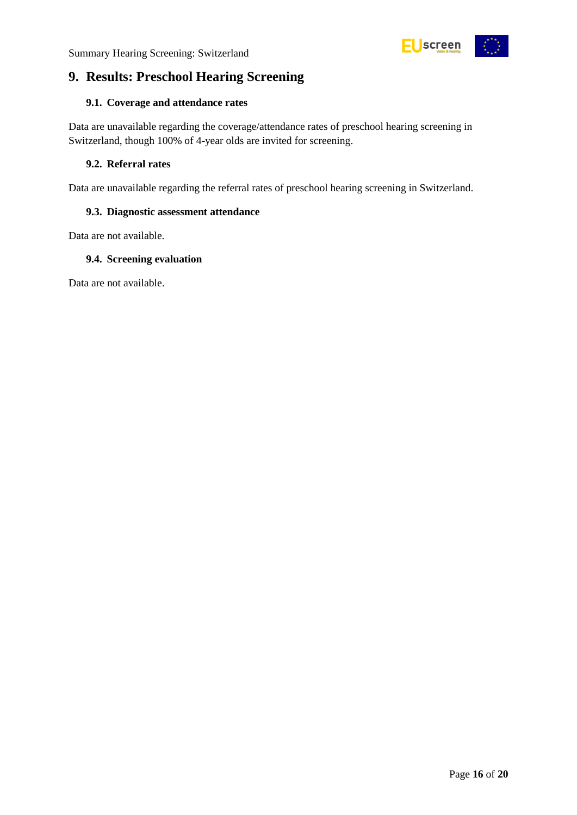

### <span id="page-15-0"></span>**9. Results: Preschool Hearing Screening**

#### <span id="page-15-1"></span>**9.1. Coverage and attendance rates**

Data are unavailable regarding the coverage/attendance rates of preschool hearing screening in Switzerland, though 100% of 4-year olds are invited for screening.

#### <span id="page-15-2"></span>**9.2. Referral rates**

Data are unavailable regarding the referral rates of preschool hearing screening in Switzerland.

#### <span id="page-15-3"></span>**9.3. Diagnostic assessment attendance**

Data are not available.

#### <span id="page-15-4"></span>**9.4. Screening evaluation**

Data are not available.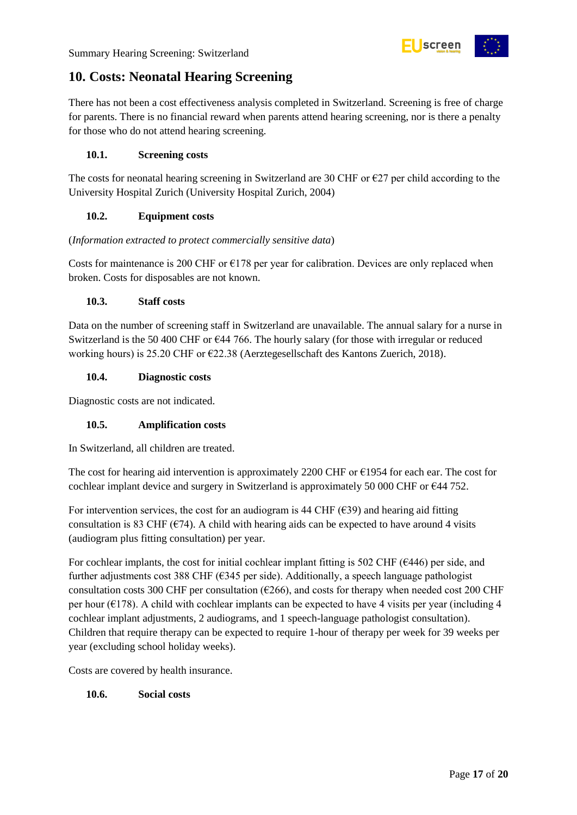

### <span id="page-16-0"></span>**10. Costs: Neonatal Hearing Screening**

There has not been a cost effectiveness analysis completed in Switzerland. Screening is free of charge for parents. There is no financial reward when parents attend hearing screening, nor is there a penalty for those who do not attend hearing screening.

#### <span id="page-16-1"></span>**10.1. Screening costs**

The costs for neonatal hearing screening in Switzerland are 30 CHF or  $\epsilon$ 27 per child according to the University Hospital Zurich (University Hospital Zurich, 2004)

#### <span id="page-16-2"></span>**10.2. Equipment costs**

#### (*Information extracted to protect commercially sensitive data*)

Costs for maintenance is 200 CHF or  $E178$  per year for calibration. Devices are only replaced when broken. Costs for disposables are not known.

#### <span id="page-16-3"></span>**10.3. Staff costs**

Data on the number of screening staff in Switzerland are unavailable. The annual salary for a nurse in Switzerland is the 50 400 CHF or €44 766. The hourly salary (for those with irregular or reduced working hours) is 25.20 CHF or €22.38 (Aerztegesellschaft des Kantons Zuerich, 2018).

#### <span id="page-16-4"></span>**10.4. Diagnostic costs**

Diagnostic costs are not indicated.

#### <span id="page-16-5"></span>**10.5. Amplification costs**

In Switzerland, all children are treated.

The cost for hearing aid intervention is approximately 2200 CHF or  $\epsilon$ 1954 for each ear. The cost for cochlear implant device and surgery in Switzerland is approximately 50 000 CHF or  $\epsilon$ 44 752.

For intervention services, the cost for an audiogram is 44 CHF ( $\epsilon$ 39) and hearing aid fitting consultation is 83 CHF ( $\epsilon$ 74). A child with hearing aids can be expected to have around 4 visits (audiogram plus fitting consultation) per year.

For cochlear implants, the cost for initial cochlear implant fitting is 502 CHF ( $\epsilon$ 446) per side, and further adjustments cost 388 CHF (€345 per side). Additionally, a speech language pathologist consultation costs 300 CHF per consultation ( $\epsilon$ 266), and costs for therapy when needed cost 200 CHF per hour ( $\epsilon$ 178). A child with cochlear implants can be expected to have 4 visits per year (including 4 cochlear implant adjustments, 2 audiograms, and 1 speech-language pathologist consultation). Children that require therapy can be expected to require 1-hour of therapy per week for 39 weeks per year (excluding school holiday weeks).

Costs are covered by health insurance.

#### <span id="page-16-6"></span>**10.6. Social costs**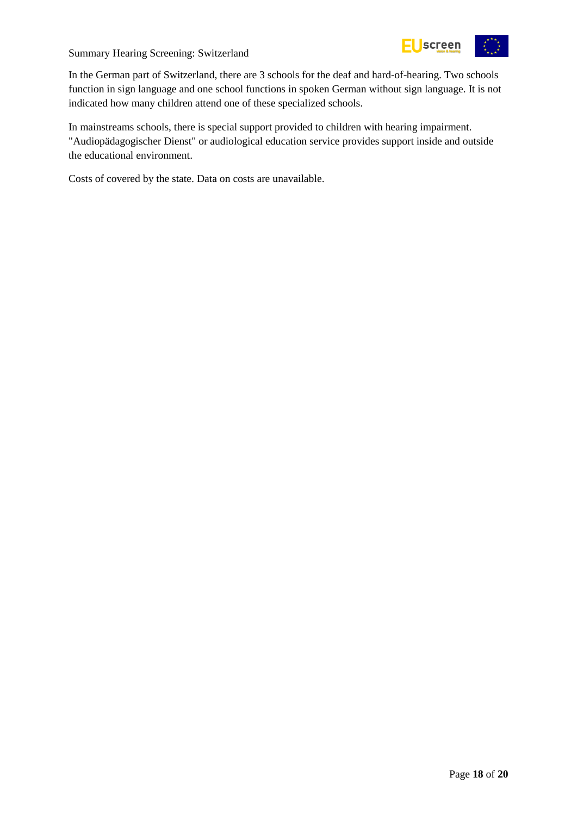

In the German part of Switzerland, there are 3 schools for the deaf and hard-of-hearing. Two schools function in sign language and one school functions in spoken German without sign language. It is not indicated how many children attend one of these specialized schools.

In mainstreams schools, there is special support provided to children with hearing impairment. "Audiopädagogischer Dienst" or audiological education service provides support inside and outside the educational environment.

Costs of covered by the state. Data on costs are unavailable.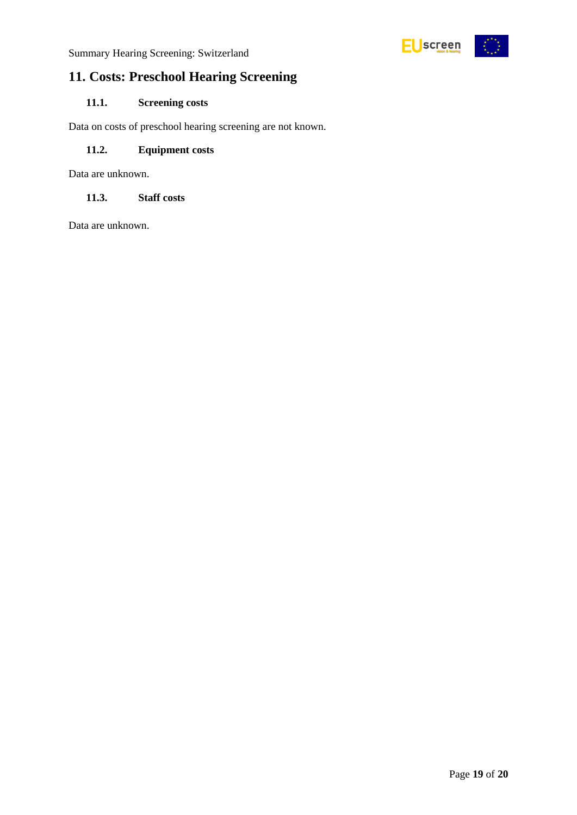

### <span id="page-18-0"></span>**11. Costs: Preschool Hearing Screening**

#### <span id="page-18-1"></span>**11.1. Screening costs**

Data on costs of preschool hearing screening are not known.

#### <span id="page-18-2"></span>**11.2. Equipment costs**

Data are unknown.

#### <span id="page-18-3"></span>**11.3. Staff costs**

Data are unknown.